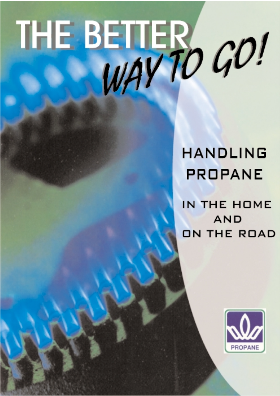# THE BETTER CO!

# **HANDLING PROPANE**

IN THE HOME **AND** ON THE ROAD

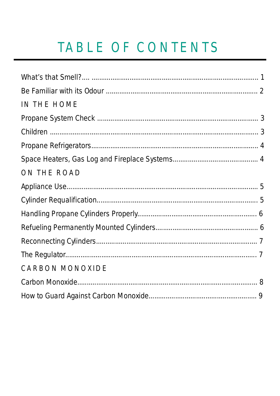# TABLE OF CONTENTS

| IN THE HOME            |  |
|------------------------|--|
|                        |  |
|                        |  |
|                        |  |
|                        |  |
| ON THE ROAD            |  |
|                        |  |
|                        |  |
|                        |  |
|                        |  |
|                        |  |
|                        |  |
| <b>CARBON MONOXIDE</b> |  |
|                        |  |
|                        |  |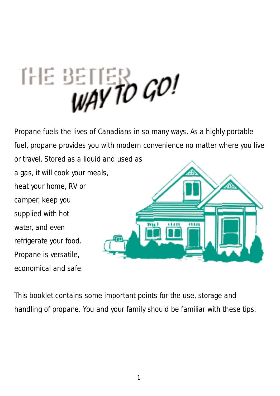# THE BETTER CO!

Propane fuels the lives of Canadians in so many ways. As a highly portable fuel, propane provides you with modern convenience no matter where you live or travel. Stored as a liquid and used as a gas, it will cook your meals, heat your home, RV or camper, keep you supplied with hot water, and even refrigerate your food. Propane is versatile, economical and safe.

This booklet contains some important points for the use, storage and handling of propane. You and your family should be familiar with these tips.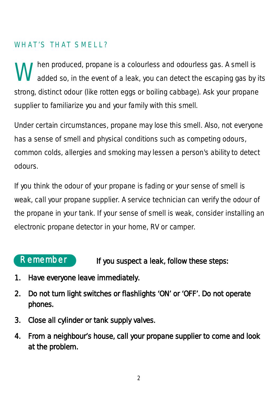# WHAT'S THAT SMELL?

When produced, propane is a colourless and odourless gas. A smell is<br>added so, in the event of a leak, you can detect the escaping gas by its strong, distinct odour (like rotten eggs or boiling cabbage). Ask your propane supplier to familiarize you and your family with this smell.

Under certain circumstances, propane may lose this smell. Also, not everyone has a sense of smell and physical conditions such as competing odours, common colds, allergies and smoking may lessen a person's ability to detect odours.

If you think the odour of your propane is fading or your sense of smell is weak, call your propane supplier. A service technician can verify the odour of the propane in your tank. If your sense of smell is weak, consider installing an electronic propane detector in your home, RV or camper.

# Remember

#### If you suspect a leak, follow these steps:

- 1. Have everyone leave immediately.
- 2. Do not turn light switches or flashlights 'ON' or 'OFF'. Do not operate phones.
- 3. Close all cylinder or tank supply valves.
- 4. From a neighbour's house, call your propane supplier to come and look at the problem.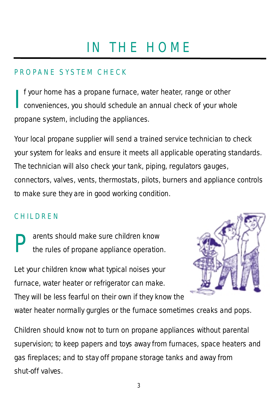# IN THE HOME

# PROPANE SYSTEM CHECK

I f your home has a propane furnace, water heater, range or other conveniences, you should schedule an annual check of your whole propane system, including the appliances.

Your local propane supplier will send a trained service technician to check your system for leaks and ensure it meets all applicable operating standards. The technician will also check your tank, piping, regulators gauges, connectors, valves, vents, thermostats, pilots, burners and appliance controls to make sure they are in good working condition.

### CHILDREN

**Parents should make sure children know**<br>the rules of propane appliance operation.

Let your children know what typical noises your furnace, water heater or refrigerator can make. They will be less fearful on their own if they know the



water heater normally gurgles or the furnace sometimes creaks and pops.

Children should know not to turn on propane appliances without parental supervision; to keep papers and toys away from furnaces, space heaters and gas fireplaces; and to stay off propane storage tanks and away from shut-off valves.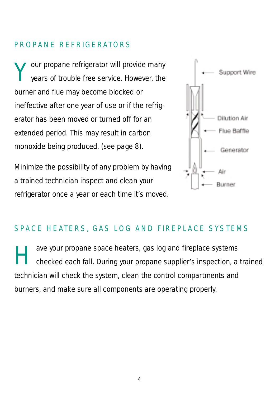### PROPANE REFRIGERATORS

Your propane refrigerator will provide many<br>years of trouble free service. However, the burner and flue may become blocked or ineffective after one year of use or if the refrigerator has been moved or turned off for an extended period. This may result in carbon monoxide being produced, (see page 8).

Minimize the possibility of any problem by having a trained technician inspect and clean your refrigerator once a year or each time it's moved.



### SPACE HEATERS, GAS LOG AND FIREPLACE SYSTEMS

ave your propane space heaters, gas log and fireplace systems<br>checked each fall. During your propane supplier's inspection, a trained technician will check the system, clean the control compartments and burners, and make sure all components are operating properly.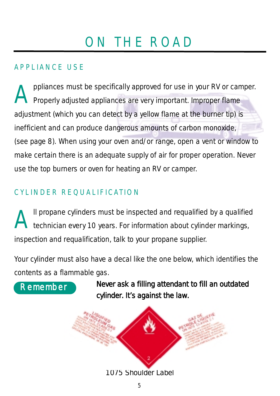# ON THE ROAD

# APPLIANCE USE

**Appliances must be specifically approved for use in your RV or camper.**<br>Properly adjusted appliances are very important. Improper flame adjustment (which you can detect by a yellow flame at the burner tip) is inefficient and can produce dangerous amounts of carbon monoxide, (see page 8). When using your oven and/or range, open a vent or window to make certain there is an adequate supply of air for proper operation. Never use the top burners or oven for heating an RV or camper.

# CYLINDER REQUALIFICATION

All propane cylinders must be inspected and requalified by a qualified<br>technician every 10 years. For information about cylinder markings, inspection and requalification, talk to your propane supplier.

Your cylinder must also have a decal like the one below, which identifies the contents as a flammable gas.



Never ask a filling attendant to fill an outdated cylinder. It's against the law.

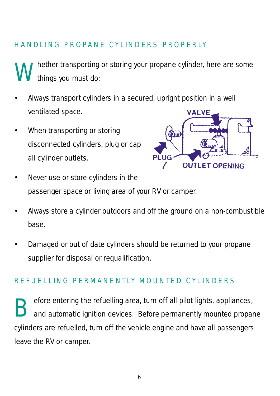# HANDLING PROPANE CYLINDERS PROPERLY

hether transporting or storing your propane cylinder, here are some things you must do:

- Always transport cylinders in a secured, upright position in a well ventilated space. VALVE
- When transporting or storing disconnected cylinders, plug or cap all cylinder outlets.



- Never use or store cylinders in the passenger space or living area of your RV or camper.
- Always store a cylinder outdoors and off the ground on a non-combustible base.
- Damaged or out of date cylinders should be returned to your propane supplier for disposal or requalification.

#### REFUELLING PERMANENTLY MOUNTED CYLINDERS

**Before entering the refuelling area, turn off all pilot lights, appliances,**<br>and automatic ignition devices. Before permanently mounted propane cylinders are refuelled, turn off the vehicle engine and have all passengers leave the RV or camper.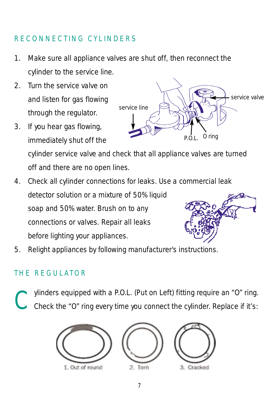# RECONNECTING CYLINDERS

- 1. Make sure all appliance valves are shut off, then reconnect the cylinder to the service line.
- 2. Turn the service valve on and listen for gas flowing through the regulator.
- 3. If you hear gas flowing, immediately shut off the cylinder service valve and check that all appliance valves are turned off and there are no open lines.
- 4. Check all cylinder connections for leaks. Use a commercial leak detector solution or a mixture of 50% liquid soap and 50% water. Brush on to any connections or valves. Repair all leaks before lighting your appliances.



### THE REGULATOR

ylinders equipped with a P.O.L. (Put on Left) fitting require an "O" ring. Check the "O" ring every time you connect the cylinder. Replace if it's:



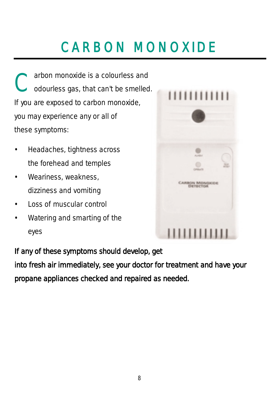# CARBON MONOXIDE

Carbon monoxide is a colourless and<br>
Codourless gas, that can't be smelled. If you are exposed to carbon monoxide, you may experience any or all of these symptoms:

- Headaches, tightness across the forehead and temples
- Weariness, weakness, dizziness and vomiting
- Loss of muscular control
- Watering and smarting of the eyes



If any of these symptoms should develop, get

into fresh air immediately, see your doctor for treatment and have your propane appliances checked and repaired as needed.